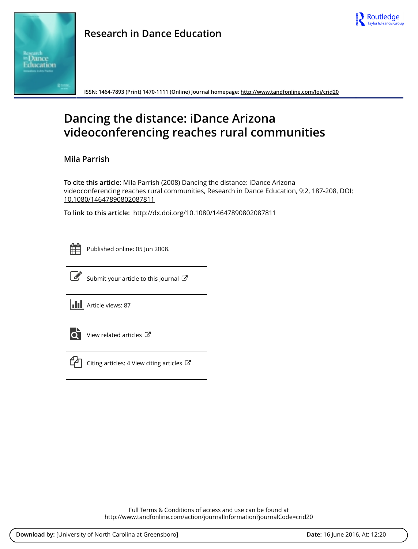



**Research in Dance Education**

**ISSN: 1464-7893 (Print) 1470-1111 (Online) Journal homepage:<http://www.tandfonline.com/loi/crid20>**

# **Dancing the distance: iDance Arizona videoconferencing reaches rural communities**

**Mila Parrish**

**To cite this article:** Mila Parrish (2008) Dancing the distance: iDance Arizona videoconferencing reaches rural communities, Research in Dance Education, 9:2, 187-208, DOI: [10.1080/14647890802087811](http://www.tandfonline.com/action/showCitFormats?doi=10.1080/14647890802087811)

**To link to this article:** <http://dx.doi.org/10.1080/14647890802087811>

| - | _ | - |
|---|---|---|
|   |   |   |
|   |   |   |
|   |   |   |

Published online: 05 Jun 2008.



 $\overline{\mathscr{L}}$  [Submit your article to this journal](http://www.tandfonline.com/action/authorSubmission?journalCode=crid20&page=instructions)  $\mathbb{Z}$ 

**III** Article views: 87



 $\overrightarrow{Q}$  [View related articles](http://www.tandfonline.com/doi/mlt/10.1080/14647890802087811)  $\overrightarrow{C}$ 



[Citing articles: 4 View citing articles](http://www.tandfonline.com/doi/citedby/10.1080/14647890802087811#tabModule)  $\mathbb{C}$ 

Full Terms & Conditions of access and use can be found at <http://www.tandfonline.com/action/journalInformation?journalCode=crid20>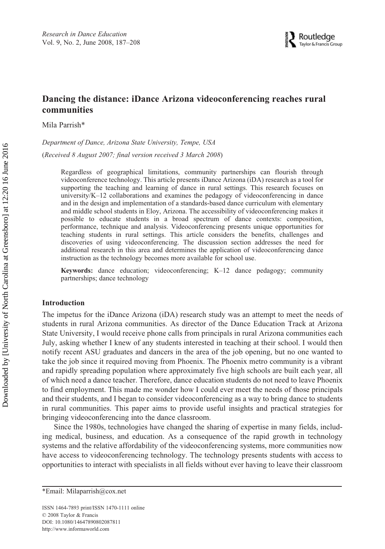# **Dancing the distance: iDance Arizona videoconferencing reaches rural communities**

Mila Parrish\*

*Department of Dance, Arizona State University, Tempe, USA*

(*Received 8 August 2007; final version received 3 March 2008*)

Regardless of geographical limitations, community partnerships can flourish through videoconference technology. This article presents iDance Arizona (iDA) research as a tool for supporting the teaching and learning of dance in rural settings. This research focuses on university/K–12 collaborations and examines the pedagogy of videoconferencing in dance and in the design and implementation of a standards-based dance curriculum with elementary and middle school students in Eloy, Arizona. The accessibility of videoconferencing makes it possible to educate students in a broad spectrum of dance contexts: composition, performance, technique and analysis. Videoconferencing presents unique opportunities for teaching students in rural settings. This article considers the benefits, challenges and discoveries of using videoconferencing. The discussion section addresses the need for additional research in this area and determines the application of videoconferencing dance instruction as the technology becomes more available for school use.

**Keywords:** dance education; videoconferencing; K–12 dance pedagogy; community partnerships; dance technology

# **Introduction**

The impetus for the iDance Arizona (iDA) research study was an attempt to meet the needs of students in rural Arizona communities. As director of the Dance Education Track at Arizona State University, I would receive phone calls from principals in rural Arizona communities each July, asking whether I knew of any students interested in teaching at their school. I would then notify recent ASU graduates and dancers in the area of the job opening, but no one wanted to take the job since it required moving from Phoenix. The Phoenix metro community is a vibrant and rapidly spreading population where approximately five high schools are built each year, all of which need a dance teacher. Therefore, dance education students do not need to leave Phoenix to find employment. This made me wonder how I could ever meet the needs of those principals and their students, and I began to consider videoconferencing as a way to bring dance to students in rural communities. This paper aims to provide useful insights and practical strategies for bringing videoconferencing into the dance classroom.

Since the 1980s, technologies have changed the sharing of expertise in many fields, including medical, business, and education. As a consequence of the rapid growth in technology systems and the relative affordability of the videoconferencing systems, more communities now have access to videoconferencing technology. The technology presents students with access to opportunities to interact with specialists in all fields without ever having to leave their classroom

ISSN 1464-7893 print/ISSN 1470-1111 online © 2008 Taylor & Francis DOI: 10.1080/14647890802087811 http://www.informaworld.com

<sup>\*</sup>Email: Milaparrish@cox.net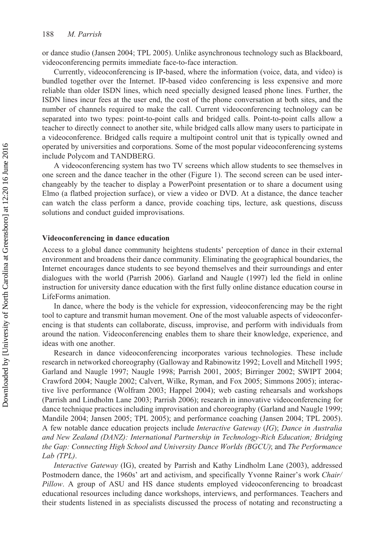or dance studio (Jansen 2004; TPL 2005). Unlike asynchronous technology such as Blackboard, videoconferencing permits immediate face-to-face interaction.

Currently, videoconferencing is IP-based, where the information (voice, data, and video) is bundled together over the Internet. IP-based video conferencing is less expensive and more reliable than older ISDN lines, which need specially designed leased phone lines. Further, the ISDN lines incur fees at the user end, the cost of the phone conversation at both sites, and the number of channels required to make the call. Current videoconferencing technology can be separated into two types: point-to-point calls and bridged calls. Point-to-point calls allow a teacher to directly connect to another site, while bridged calls allow many users to participate in a videoconference. Bridged calls require a multipoint control unit that is typically owned and operated by universities and corporations. Some of the most popular videoconferencing systems include Polycom and TANDBERG.

A videoconferencing system has two TV screens which allow students to see themselves in one screen and the dance teacher in the other (Figure 1). The second screen can be used interchangeably by the teacher to display a PowerPoint presentation or to share a document using Elmo (a flatbed projection surface), or view a video or DVD. At a distance, the dance teacher can watch the class perform a dance, provide coaching tips, lecture, ask questions, discuss solutions and conduct guided improvisations.

#### **Videoconferencing in dance education**

Access to a global dance community heightens students' perception of dance in their external environment and broadens their dance community. Eliminating the geographical boundaries, the Internet encourages dance students to see beyond themselves and their surroundings and enter dialogues with the world (Parrish 2006). Garland and Naugle (1997) led the field in online instruction for university dance education with the first fully online distance education course in LifeForms animation.

In dance, where the body is the vehicle for expression, videoconferencing may be the right tool to capture and transmit human movement. One of the most valuable aspects of videoconferencing is that students can collaborate, discuss, improvise, and perform with individuals from around the nation. Videoconferencing enables them to share their knowledge, experience, and ideas with one another.

Research in dance videoconferencing incorporates various technologies. These include research in networked choreography (Galloway and Rabinowitz 1992; Lovell and Mitchell 1995; Garland and Naugle 1997; Naugle 1998; Parrish 2001, 2005; Birringer 2002; SWIPT 2004; Crawford 2004; Naugle 2002; Calvert, Wilke, Ryman, and Fox 2005; Simmons 2005); interactive live performance (Wolfram 2003; Happel 2004); web casting rehearsals and workshops (Parrish and Lindholm Lane 2003; Parrish 2006); research in innovative videoconferencing for dance technique practices including improvisation and choreography (Garland and Naugle 1999; Mandile 2004; Jansen 2005; TPL 2005); and performance coaching (Jansen 2004; TPL 2005). A few notable dance education projects include *Interactive Gateway* (*IG*); *Dance in Australia and New Zealand (DANZ): International Partnership in Technology-Rich Education; Bridging the Gap: Connecting High School and University Dance Worlds (BGCU)*; and *The Performance Lab (TPL)*.

*Interactive Gateway* (IG), created by Parrish and Kathy Lindholm Lane (2003), addressed Postmodern dance, the 1960s' art and activism, and specifically Yvonne Rainer's work *Chair/ Pillow*. A group of ASU and HS dance students employed videoconferencing to broadcast educational resources including dance workshops, interviews, and performances. Teachers and their students listened in as specialists discussed the process of notating and reconstructing a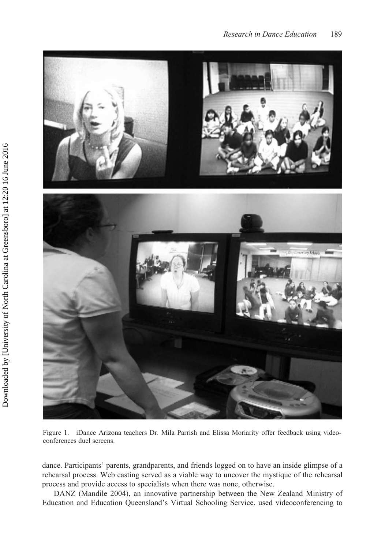

Figure 1. iDance Arizona teachers Dr. Mila Parrish and Elissa Moriarity offer feedback using videoconferences duel screens.

dance. Participants' parents, grandparents, and friends logged on to have an inside glimpse of a rehearsal process. Web casting served as a viable way to uncover the mystique of the rehearsal process and provide access to specialists when there was none, otherwise.

DANZ (Mandile 2004), an innovative partnership between the New Zealand Ministry of Education and Education Queensland's Virtual Schooling Service, used videoconferencing to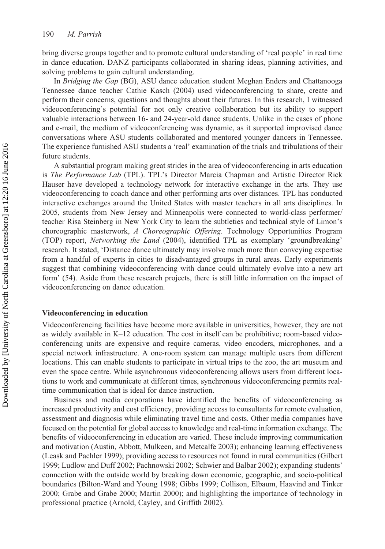bring diverse groups together and to promote cultural understanding of 'real people' in real time in dance education. DANZ participants collaborated in sharing ideas, planning activities, and solving problems to gain cultural understanding.

In *Bridging the Gap* (BG), ASU dance education student Meghan Enders and Chattanooga Tennessee dance teacher Cathie Kasch (2004) used videoconferencing to share, create and perform their concerns, questions and thoughts about their futures. In this research, I witnessed videoconferencing's potential for not only creative collaboration but its ability to support valuable interactions between 16- and 24-year-old dance students. Unlike in the cases of phone and e-mail, the medium of videoconferencing was dynamic, as it supported improvised dance conversations where ASU students collaborated and mentored younger dancers in Tennessee. The experience furnished ASU students a 'real' examination of the trials and tribulations of their future students.

A substantial program making great strides in the area of videoconferencing in arts education is *The Performance Lab* (TPL). TPL's Director Marcia Chapman and Artistic Director Rick Hauser have developed a technology network for interactive exchange in the arts. They use videoconferencing to coach dance and other performing arts over distances. TPL has conducted interactive exchanges around the United States with master teachers in all arts disciplines. In 2005, students from New Jersey and Minneapolis were connected to world-class performer/ teacher Risa Steinberg in New York City to learn the subtleties and technical style of Limon's choreographic masterwork, *A Choreographic Offering*. Technology Opportunities Program (TOP) report, *Networking the Land* (2004), identified TPL as exemplary 'groundbreaking' research. It stated, 'Distance dance ultimately may involve much more than conveying expertise from a handful of experts in cities to disadvantaged groups in rural areas. Early experiments suggest that combining videoconferencing with dance could ultimately evolve into a new art form' (54). Aside from these research projects, there is still little information on the impact of videoconferencing on dance education.

# **Videoconferencing in education**

Videoconferencing facilities have become more available in universities, however, they are not as widely available in K–12 education. The cost in itself can be prohibitive; room-based videoconferencing units are expensive and require cameras, video encoders, microphones, and a special network infrastructure. A one-room system can manage multiple users from different locations. This can enable students to participate in virtual trips to the zoo, the art museum and even the space centre. While asynchronous videoconferencing allows users from different locations to work and communicate at different times, synchronous videoconferencing permits realtime communication that is ideal for dance instruction.

Business and media corporations have identified the benefits of videoconferencing as increased productivity and cost efficiency, providing access to consultants for remote evaluation, assessment and diagnosis while eliminating travel time and costs. Other media companies have focused on the potential for global access to knowledge and real-time information exchange. The benefits of videoconferencing in education are varied. These include improving communication and motivation (Austin, Abbott, Mulkeen, and Metcalfe 2003); enhancing learning effectiveness (Leask and Pachler 1999); providing access to resources not found in rural communities (Gilbert 1999; Ludlow and Duff 2002; Pachnowski 2002; Schwier and Balbar 2002); expanding students' connection with the outside world by breaking down economic, geographic, and socio-political boundaries (Bilton-Ward and Young 1998; Gibbs 1999; Collison, Elbaum, Haavind and Tinker 2000; Grabe and Grabe 2000; Martin 2000); and highlighting the importance of technology in professional practice (Arnold, Cayley, and Griffith 2002).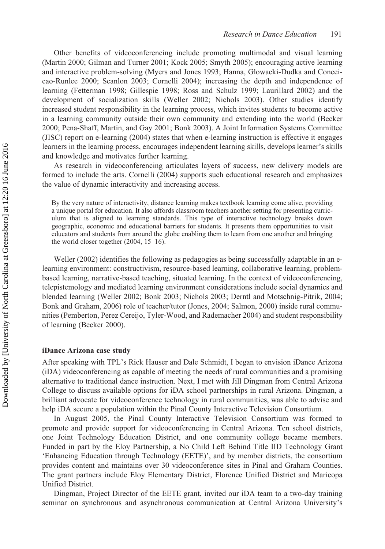Other benefits of videoconferencing include promoting multimodal and visual learning (Martin 2000; Gilman and Turner 2001; Kock 2005; Smyth 2005); encouraging active learning and interactive problem-solving (Myers and Jones 1993; Hanna, Glowacki-Dudka and Conceicao-Runlee 2000; Scanlon 2003; Cornelli 2004); increasing the depth and independence of learning (Fetterman 1998; Gillespie 1998; Ross and Schulz 1999; Laurillard 2002) and the development of socialization skills (Weller 2002; Nichols 2003). Other studies identify increased student responsibility in the learning process, which invites students to become active in a learning community outside their own community and extending into the world (Becker 2000; Pena-Shaff, Martin, and Gay 2001; Bonk 2003). A Joint Information Systems Committee (JISC) report on e-learning (2004) states that when e-learning instruction is effective it engages learners in the learning process, encourages independent learning skills, develops learner's skills and knowledge and motivates further learning.

As research in videoconferencing articulates layers of success, new delivery models are formed to include the arts. Cornelli (2004) supports such educational research and emphasizes the value of dynamic interactivity and increasing access.

By the very nature of interactivity, distance learning makes textbook learning come alive, providing a unique portal for education. It also affords classroom teachers another setting for presenting curriculum that is aligned to learning standards. This type of interactive technology breaks down geographic, economic and educational barriers for students. It presents them opportunities to visit educators and students from around the globe enabling them to learn from one another and bringing the world closer together (2004, 15–16).

Weller (2002) identifies the following as pedagogies as being successfully adaptable in an elearning environment: constructivism, resource-based learning, collaborative learning, problembased learning, narrative-based teaching, situated learning. In the context of videoconferencing, telepistemology and mediated learning environment considerations include social dynamics and blended learning (Weller 2002; Bonk 2003; Nichols 2003; Derntl and Motschnig-Pitrik, 2004; Bonk and Graham, 2006) role of teacher/tutor (Jones, 2004; Salmon, 2000) inside rural communities (Pemberton, Perez Cereijo, Tyler-Wood, and Rademacher 2004) and student responsibility of learning (Becker 2000).

#### **iDance Arizona case study**

After speaking with TPL's Rick Hauser and Dale Schmidt, I began to envision iDance Arizona (iDA) videoconferencing as capable of meeting the needs of rural communities and a promising alternative to traditional dance instruction. Next, I met with Jill Dingman from Central Arizona College to discuss available options for iDA school partnerships in rural Arizona. Dingman, a brilliant advocate for videoconference technology in rural communities, was able to advise and help iDA secure a population within the Pinal County Interactive Television Consortium.

In August 2005, the Pinal County Interactive Television Consortium was formed to promote and provide support for videoconferencing in Central Arizona. Ten school districts, one Joint Technology Education District, and one community college became members. Funded in part by the Eloy Partnership, a No Child Left Behind Title IID Technology Grant 'Enhancing Education through Technology (EETE)', and by member districts, the consortium provides content and maintains over 30 videoconference sites in Pinal and Graham Counties. The grant partners include Eloy Elementary District, Florence Unified District and Maricopa Unified District.

Dingman, Project Director of the EETE grant, invited our iDA team to a two-day training seminar on synchronous and asynchronous communication at Central Arizona University's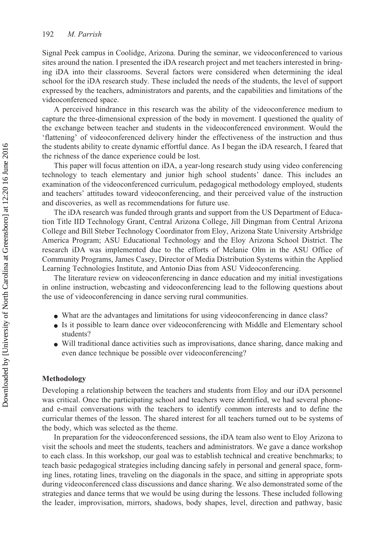Signal Peek campus in Coolidge, Arizona. During the seminar, we videoconferenced to various sites around the nation. I presented the iDA research project and met teachers interested in bringing iDA into their classrooms. Several factors were considered when determining the ideal school for the iDA research study. These included the needs of the students, the level of support expressed by the teachers, administrators and parents, and the capabilities and limitations of the videoconferenced space.

A perceived hindrance in this research was the ability of the videoconference medium to capture the three-dimensional expression of the body in movement. I questioned the quality of the exchange between teacher and students in the videoconferenced environment. Would the 'flattening' of videoconferenced delivery hinder the effectiveness of the instruction and thus the students ability to create dynamic effortful dance. As I began the iDA research, I feared that the richness of the dance experience could be lost.

This paper will focus attention on iDA, a year-long research study using video conferencing technology to teach elementary and junior high school students' dance. This includes an examination of the videoconferenced curriculum, pedagogical methodology employed, students and teachers' attitudes toward videoconferencing, and their perceived value of the instruction and discoveries, as well as recommendations for future use.

The iDA research was funded through grants and support from the US Department of Education Title IID Technology Grant, Central Arizona College, Jill Dingman from Central Arizona College and Bill Steber Technology Coordinator from Eloy, Arizona State University Artsbridge America Program; ASU Educational Technology and the Eloy Arizona School District. The research iDA was implemented due to the efforts of Melanie Olm in the ASU Office of Community Programs, James Casey, Director of Media Distribution Systems within the Applied Learning Technologies Institute, and Antonio Dias from ASU Videoconferencing.

The literature review on videoconferencing in dance education and my initial investigations in online instruction, webcasting and videoconferencing lead to the following questions about the use of videoconferencing in dance serving rural communities.

- What are the advantages and limitations for using videoconferencing in dance class?
- Is it possible to learn dance over videoconferencing with Middle and Elementary school students?
- Will traditional dance activities such as improvisations, dance sharing, dance making and even dance technique be possible over videoconferencing?

## **Methodology**

Developing a relationship between the teachers and students from Eloy and our iDA personnel was critical. Once the participating school and teachers were identified, we had several phoneand e-mail conversations with the teachers to identify common interests and to define the curricular themes of the lesson. The shared interest for all teachers turned out to be systems of the body, which was selected as the theme.

In preparation for the videoconferenced sessions, the iDA team also went to Eloy Arizona to visit the schools and meet the students, teachers and administrators. We gave a dance workshop to each class. In this workshop, our goal was to establish technical and creative benchmarks; to teach basic pedagogical strategies including dancing safely in personal and general space, forming lines, rotating lines, traveling on the diagonals in the space, and sitting in appropriate spots during videoconferenced class discussions and dance sharing. We also demonstrated some of the strategies and dance terms that we would be using during the lessons. These included following the leader, improvisation, mirrors, shadows, body shapes, level, direction and pathway, basic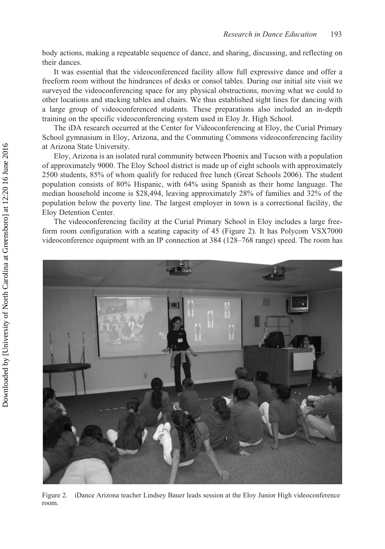body actions, making a repeatable sequence of dance, and sharing, discussing, and reflecting on their dances.

It was essential that the videoconferenced facility allow full expressive dance and offer a freeform room without the hindrances of desks or consol tables. During our initial site visit we surveyed the videoconferencing space for any physical obstructions, moving what we could to other locations and stacking tables and chairs. We thus established sight lines for dancing with a large group of videoconferenced students. These preparations also included an in-depth training on the specific videoconferencing system used in Eloy Jr. High School.

The iDA research occurred at the Center for Videoconferencing at Eloy, the Curial Primary School gymnasium in Eloy, Arizona, and the Commuting Commons videoconferencing facility at Arizona State University.

Eloy, Arizona is an isolated rural community between Phoenix and Tucson with a population of approximately 9000. The Eloy School district is made up of eight schools with approximately 2500 students, 85% of whom qualify for reduced free lunch (Great Schools 2006). The student population consists of 80% Hispanic, with 64% using Spanish as their home language. The median household income is \$28,494, leaving approximately 28% of families and 32% of the population below the poverty line. The largest employer in town is a correctional facility, the Eloy Detention Center.

The videoconferencing facility at the Curial Primary School in Eloy includes a large freeform room configuration with a seating capacity of 45 (Figure 2). It has Polycom VSX7000 videoconference equipment with an IP connection at 384 (128–768 range) speed. The room has



Figure 2. iDance Arizona teacher Lindsey Bauer leads session at the Eloy Junior High videoconference room.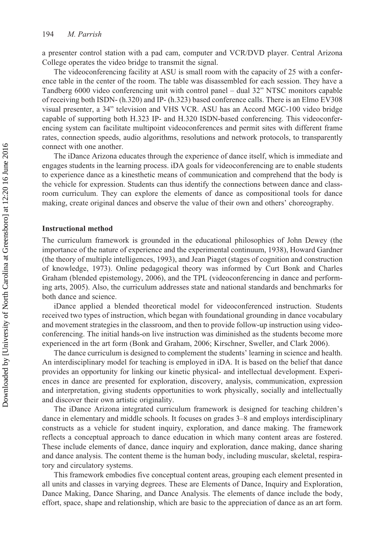a presenter control station with a pad cam, computer and VCR/DVD player. Central Arizona College operates the video bridge to transmit the signal.

The videoconferencing facility at ASU is small room with the capacity of 25 with a conference table in the center of the room. The table was disassembled for each session. They have a Tandberg 6000 video conferencing unit with control panel – dual 32" NTSC monitors capable of receiving both ISDN- (h.320) and IP- (h.323) based conference calls. There is an Elmo EV308 visual presenter, a 34" television and VHS VCR. ASU has an Accord MGC-100 video bridge capable of supporting both H.323 IP- and H.320 ISDN-based conferencing. This videoconferencing system can facilitate multipoint videoconferences and permit sites with different frame rates, connection speeds, audio algorithms, resolutions and network protocols, to transparently connect with one another.

The iDance Arizona educates through the experience of dance itself, which is immediate and engages students in the learning process. iDA goals for videoconferencing are to enable students to experience dance as a kinesthetic means of communication and comprehend that the body is the vehicle for expression. Students can thus identify the connections between dance and classroom curriculum. They can explore the elements of dance as compositional tools for dance making, create original dances and observe the value of their own and others' choreography.

#### **Instructional method**

The curriculum framework is grounded in the educational philosophies of John Dewey (the importance of the nature of experience and the experimental continuum, 1938), Howard Gardner (the theory of multiple intelligences, 1993), and Jean Piaget (stages of cognition and construction of knowledge, 1973). Online pedagogical theory was informed by Curt Bonk and Charles Graham (blended epistemology, 2006), and the TPL (videoconferencing in dance and performing arts, 2005). Also, the curriculum addresses state and national standards and benchmarks for both dance and science.

iDance applied a blended theoretical model for videoconferenced instruction. Students received two types of instruction, which began with foundational grounding in dance vocabulary and movement strategies in the classroom, and then to provide follow-up instruction using videoconferencing. The initial hands-on live instruction was diminished as the students become more experienced in the art form (Bonk and Graham, 2006; Kirschner, Sweller, and Clark 2006).

The dance curriculum is designed to complement the students' learning in science and health. An interdisciplinary model for teaching is employed in iDA. It is based on the belief that dance provides an opportunity for linking our kinetic physical- and intellectual development. Experiences in dance are presented for exploration, discovery, analysis, communication, expression and interpretation, giving students opportunities to work physically, socially and intellectually and discover their own artistic originality.

The iDance Arizona integrated curriculum framework is designed for teaching children's dance in elementary and middle schools. It focuses on grades 3–8 and employs interdisciplinary constructs as a vehicle for student inquiry, exploration, and dance making. The framework reflects a conceptual approach to dance education in which many content areas are fostered. These include elements of dance, dance inquiry and exploration, dance making, dance sharing and dance analysis. The content theme is the human body, including muscular, skeletal, respiratory and circulatory systems.

This framework embodies five conceptual content areas, grouping each element presented in all units and classes in varying degrees. These are Elements of Dance, Inquiry and Exploration, Dance Making, Dance Sharing, and Dance Analysis. The elements of dance include the body, effort, space, shape and relationship, which are basic to the appreciation of dance as an art form.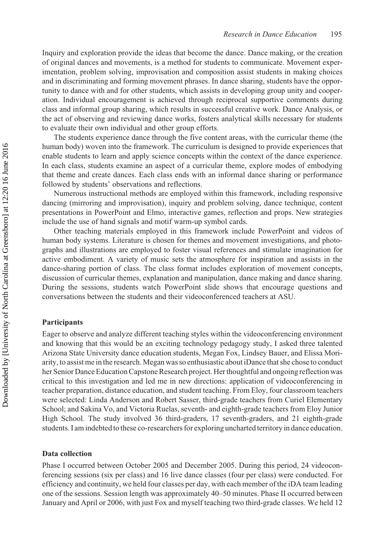Inquiry and exploration provide the ideas that become the dance. Dance making, or the creation of original dances and movements, is a method for students to communicate. Movement experimentation, problem solving, improvisation and composition assist students in making choices and in discriminating and forming movement phrases. In dance sharing, students have the opportunity to dance with and for other students, which assists in developing group unity and cooperation. Individual encouragement is achieved through reciprocal supportive comments during class and informal group sharing, which results in successful creative work. Dance Analysis, or the act of observing and reviewing dance works, fosters analytical skills necessary for students to evaluate their own individual and other group efforts.

The students experience dance through the five content areas, with the curricular theme (the human body) woven into the framework. The curriculum is designed to provide experiences that enable students to learn and apply science concepts within the context of the dance experience. In each class, students examine an aspect of a curricular theme, explore modes of embodying that theme and create dances. Each class ends with an informal dance sharing or performance followed by students' observations and reflections.

Numerous instructional methods are employed within this framework, including responsive dancing (mirroring and improvisation), inquiry and problem solving, dance technique, content presentations in PowerPoint and Elmo, interactive games, reflection and props. New strategies include the use of hand signals and motif warm-up symbol cards.

Other teaching materials employed in this framework include PowerPoint and videos of human body systems. Literature is chosen for themes and movement investigations, and photographs and illustrations are employed to foster visual references and stimulate imagination for active embodiment. A variety of music sets the atmosphere for inspiration and assists in the dance-sharing portion of class. The class format includes exploration of movement concepts, discussion of curricular themes, explanation and manipulation, dance making and dance sharing. During the sessions, students watch PowerPoint slide shows that encourage questions and conversations between the students and their videoconferenced teachers at ASU.

#### **Participants**

Eager to observe and analyze different teaching styles within the videoconferencing environment and knowing that this would be an exciting technology pedagogy study, I asked three talented Arizona State University dance education students, Megan Fox, Lindsey Bauer, and Elissa Moriarity, to assist me in the research. Megan was so enthusiastic about iDance that she chose to conduct her Senior Dance Education Capstone Research project. Her thoughtful and ongoing reflection was critical to this investigation and led me in new directions: application of videoconferencing in teacher preparation, distance education, and student teaching. From Eloy, four classroom teachers were selected: Linda Anderson and Robert Sasser, third-grade teachers from Curiel Elementary School; and Sakina Vo, and Victoria Ruelas, seventh- and eighth-grade teachers from Eloy Junior High School. The study involved 36 third-graders, 17 seventh-graders, and 21 eighth-grade students. I am indebted to these co-researchers for exploring uncharted territory in dance education.

#### **Data collection**

Phase I occurred between October 2005 and December 2005. During this period, 24 videoconferencing sessions (six per class) and 16 live dance classes (four per class) were conducted. For efficiency and continuity, we held four classes per day, with each member of the iDA team leading one of the sessions. Session length was approximately 40–50 minutes. Phase II occurred between January and April or 2006, with just Fox and myself teaching two third-grade classes. We held 12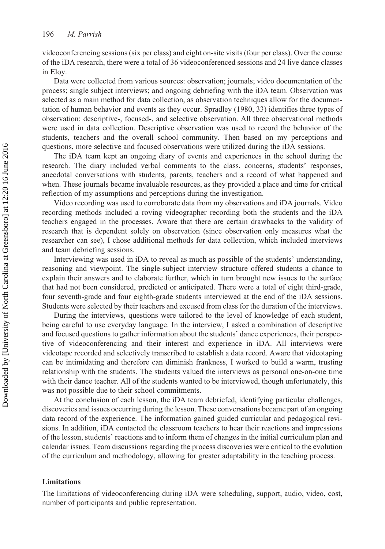videoconferencing sessions (six per class) and eight on-site visits (four per class). Over the course of the iDA research, there were a total of 36 videoconferenced sessions and 24 live dance classes in Eloy.

Data were collected from various sources: observation; journals; video documentation of the process; single subject interviews; and ongoing debriefing with the iDA team. Observation was selected as a main method for data collection, as observation techniques allow for the documentation of human behavior and events as they occur. Spradley (1980, 33) identifies three types of observation: descriptive-, focused-, and selective observation. All three observational methods were used in data collection. Descriptive observation was used to record the behavior of the students, teachers and the overall school community. Then based on my perceptions and questions, more selective and focused observations were utilized during the iDA sessions.

The iDA team kept an ongoing diary of events and experiences in the school during the research. The diary included verbal comments to the class, concerns, students' responses, anecdotal conversations with students, parents, teachers and a record of what happened and when. These journals became invaluable resources, as they provided a place and time for critical reflection of my assumptions and perceptions during the investigation.

Video recording was used to corroborate data from my observations and iDA journals. Video recording methods included a roving videographer recording both the students and the iDA teachers engaged in the processes. Aware that there are certain drawbacks to the validity of research that is dependent solely on observation (since observation only measures what the researcher can see), I chose additional methods for data collection, which included interviews and team debriefing sessions.

Interviewing was used in iDA to reveal as much as possible of the students' understanding, reasoning and viewpoint. The single-subject interview structure offered students a chance to explain their answers and to elaborate further, which in turn brought new issues to the surface that had not been considered, predicted or anticipated. There were a total of eight third-grade, four seventh-grade and four eighth-grade students interviewed at the end of the iDA sessions. Students were selected by their teachers and excused from class for the duration of the interviews.

During the interviews, questions were tailored to the level of knowledge of each student, being careful to use everyday language. In the interview, I asked a combination of descriptive and focused questions to gather information about the students' dance experiences, their perspective of videoconferencing and their interest and experience in iDA. All interviews were videotape recorded and selectively transcribed to establish a data record. Aware that videotaping can be intimidating and therefore can diminish frankness, I worked to build a warm, trusting relationship with the students. The students valued the interviews as personal one-on-one time with their dance teacher. All of the students wanted to be interviewed, though unfortunately, this was not possible due to their school commitments.

At the conclusion of each lesson, the iDA team debriefed, identifying particular challenges, discoveries and issues occurring during the lesson. These conversations became part of an ongoing data record of the experience. The information gained guided curricular and pedagogical revisions. In addition, iDA contacted the classroom teachers to hear their reactions and impressions of the lesson, students' reactions and to inform them of changes in the initial curriculum plan and calendar issues. Team discussions regarding the process discoveries were critical to the evolution of the curriculum and methodology, allowing for greater adaptability in the teaching process.

## **Limitations**

The limitations of videoconferencing during iDA were scheduling, support, audio, video, cost, number of participants and public representation.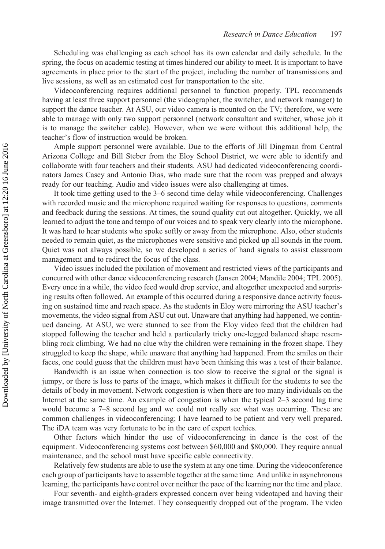Scheduling was challenging as each school has its own calendar and daily schedule. In the spring, the focus on academic testing at times hindered our ability to meet. It is important to have agreements in place prior to the start of the project, including the number of transmissions and live sessions, as well as an estimated cost for transportation to the site.

Videoconferencing requires additional personnel to function properly. TPL recommends having at least three support personnel (the videographer, the switcher, and network manager) to support the dance teacher. At ASU, our video camera is mounted on the TV; therefore, we were able to manage with only two support personnel (network consultant and switcher, whose job it is to manage the switcher cable). However, when we were without this additional help, the teacher's flow of instruction would be broken.

Ample support personnel were available. Due to the efforts of Jill Dingman from Central Arizona College and Bill Steber from the Eloy School District, we were able to identify and collaborate with four teachers and their students. ASU had dedicated videoconferencing coordinators James Casey and Antonio Dias, who made sure that the room was prepped and always ready for our teaching. Audio and video issues were also challenging at times.

It took time getting used to the 3–6 second time delay while videoconferencing. Challenges with recorded music and the microphone required waiting for responses to questions, comments and feedback during the sessions. At times, the sound quality cut out altogether. Quickly, we all learned to adjust the tone and tempo of our voices and to speak very clearly into the microphone. It was hard to hear students who spoke softly or away from the microphone. Also, other students needed to remain quiet, as the microphones were sensitive and picked up all sounds in the room. Quiet was not always possible, so we developed a series of hand signals to assist classroom management and to redirect the focus of the class.

Video issues included the pixilation of movement and restricted views of the participants and concurred with other dance videoconferencing research (Jansen 2004; Mandile 2004; TPL 2005). Every once in a while, the video feed would drop service, and altogether unexpected and surprising results often followed. An example of this occurred during a responsive dance activity focusing on sustained time and reach space. As the students in Eloy were mirroring the ASU teacher's movements, the video signal from ASU cut out. Unaware that anything had happened, we continued dancing. At ASU, we were stunned to see from the Eloy video feed that the children had stopped following the teacher and held a particularly tricky one-legged balanced shape resembling rock climbing. We had no clue why the children were remaining in the frozen shape. They struggled to keep the shape, while unaware that anything had happened. From the smiles on their faces, one could guess that the children must have been thinking this was a test of their balance.

Bandwidth is an issue when connection is too slow to receive the signal or the signal is jumpy, or there is loss to parts of the image, which makes it difficult for the students to see the details of body in movement. Network congestion is when there are too many individuals on the Internet at the same time. An example of congestion is when the typical 2–3 second lag time would become a 7–8 second lag and we could not really see what was occurring. These are common challenges in videoconferencing; I have learned to be patient and very well prepared. The iDA team was very fortunate to be in the care of expert techies.

Other factors which hinder the use of videoconferencing in dance is the cost of the equipment. Videoconferencing systems cost between \$60,000 and \$80,000. They require annual maintenance, and the school must have specific cable connectivity.

Relatively few students are able to use the system at any one time. During the videoconference each group of participants have to assemble together at the same time. And unlike in asynchronous learning, the participants have control over neither the pace of the learning nor the time and place.

Four seventh- and eighth-graders expressed concern over being videotaped and having their image transmitted over the Internet. They consequently dropped out of the program. The video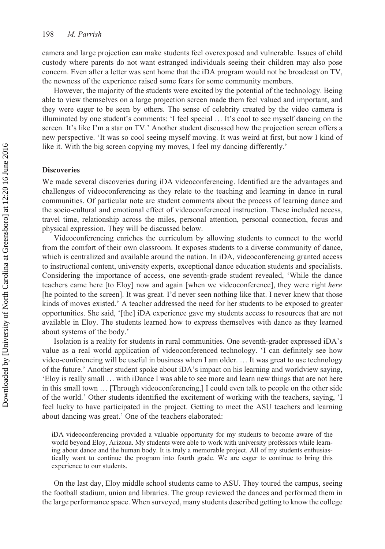camera and large projection can make students feel overexposed and vulnerable. Issues of child custody where parents do not want estranged individuals seeing their children may also pose concern. Even after a letter was sent home that the iDA program would not be broadcast on TV, the newness of the experience raised some fears for some community members.

However, the majority of the students were excited by the potential of the technology. Being able to view themselves on a large projection screen made them feel valued and important, and they were eager to be seen by others. The sense of celebrity created by the video camera is illuminated by one student's comments: 'I feel special … It's cool to see myself dancing on the screen. It's like I'm a star on TV.' Another student discussed how the projection screen offers a new perspective. 'It was so cool seeing myself moving. It was weird at first, but now I kind of like it. With the big screen copying my moves, I feel my dancing differently.'

#### **Discoveries**

We made several discoveries during iDA videoconferencing. Identified are the advantages and challenges of videoconferencing as they relate to the teaching and learning in dance in rural communities. Of particular note are student comments about the process of learning dance and the socio-cultural and emotional effect of videoconferenced instruction. These included access, travel time, relationship across the miles, personal attention, personal connection, focus and physical expression. They will be discussed below.

Videoconferencing enriches the curriculum by allowing students to connect to the world from the comfort of their own classroom. It exposes students to a diverse community of dance, which is centralized and available around the nation. In iDA, videoconferencing granted access to instructional content, university experts, exceptional dance education students and specialists. Considering the importance of access, one seventh-grade student revealed, 'While the dance teachers came here [to Eloy] now and again [when we videoconference], they were right *here* [he pointed to the screen]. It was great. I'd never seen nothing like that. I never knew that those kinds of moves existed.' A teacher addressed the need for her students to be exposed to greater opportunities. She said, '[the] iDA experience gave my students access to resources that are not available in Eloy. The students learned how to express themselves with dance as they learned about systems of the body.'

Isolation is a reality for students in rural communities. One seventh-grader expressed iDA's value as a real world application of videoconferenced technology. 'I can definitely see how video-conferencing will be useful in business when I am older. … It was great to use technology of the future.' Another student spoke about iDA's impact on his learning and worldview saying, 'Eloy is really small … with iDance I was able to see more and learn new things that are not here in this small town … [Through videoconferencing,] I could even talk to people on the other side of the world.' Other students identified the excitement of working with the teachers, saying, 'I feel lucky to have participated in the project. Getting to meet the ASU teachers and learning about dancing was great.' One of the teachers elaborated:

iDA videoconferencing provided a valuable opportunity for my students to become aware of the world beyond Eloy, Arizona. My students were able to work with university professors while learning about dance and the human body. It is truly a memorable project. All of my students enthusiastically want to continue the program into fourth grade. We are eager to continue to bring this experience to our students.

On the last day, Eloy middle school students came to ASU. They toured the campus, seeing the football stadium, union and libraries. The group reviewed the dances and performed them in the large performance space. When surveyed, many students described getting to know the college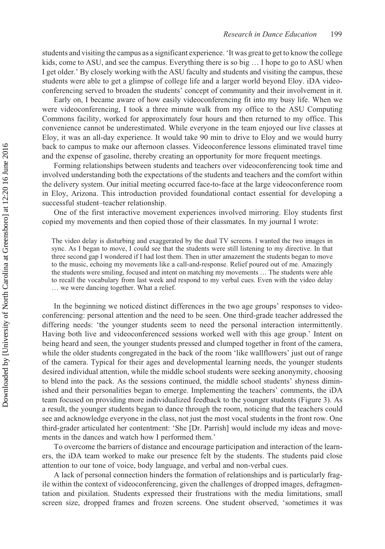students and visiting the campus as a significant experience. 'It was great to get to know the college kids, come to ASU, and see the campus. Everything there is so big ... I hope to go to ASU when I get older.' By closely working with the ASU faculty and students and visiting the campus, these students were able to get a glimpse of college life and a larger world beyond Eloy. iDA videoconferencing served to broaden the students' concept of community and their involvement in it.

Early on, I became aware of how easily videoconferencing fit into my busy life. When we were videoconferencing, I took a three minute walk from my office to the ASU Computing Commons facility, worked for approximately four hours and then returned to my office. This convenience cannot be underestimated. While everyone in the team enjoyed our live classes at Eloy, it was an all-day experience. It would take 90 min to drive to Eloy and we would hurry back to campus to make our afternoon classes. Videoconference lessons eliminated travel time and the expense of gasoline, thereby creating an opportunity for more frequent meetings.

Forming relationships between students and teachers over videoconferencing took time and involved understanding both the expectations of the students and teachers and the comfort within the delivery system. Our initial meeting occurred face-to-face at the large videoconference room in Eloy, Arizona. This introduction provided foundational contact essential for developing a successful student–teacher relationship.

One of the first interactive movement experiences involved mirroring. Eloy students first copied my movements and then copied those of their classmates. In my journal I wrote:

The video delay is disturbing and exaggerated by the dual TV screens. I wanted the two images in sync. As I began to move, I could see that the students were still listening to my directive. In that three second gap I wondered if I had lost them. Then in utter amazement the students began to move to the music, echoing my movements like a call-and-response. Relief poured out of me. Amazingly the students were smiling, focused and intent on matching my movements … The students were able to recall the vocabulary from last week and respond to my verbal cues. Even with the video delay … we were dancing together. What a relief.

In the beginning we noticed distinct differences in the two age groups' responses to videoconferencing: personal attention and the need to be seen. One third-grade teacher addressed the differing needs: 'the younger students seem to need the personal interaction intermittently. Having both live and videoconferenced sessions worked well with this age group.' Intent on being heard and seen, the younger students pressed and clumped together in front of the camera, while the older students congregated in the back of the room 'like wallflowers' just out of range of the camera. Typical for their ages and developmental learning needs, the younger students desired individual attention, while the middle school students were seeking anonymity, choosing to blend into the pack. As the sessions continued, the middle school students' shyness diminished and their personalities began to emerge. Implementing the teachers' comments, the iDA team focused on providing more individualized feedback to the younger students (Figure 3). As a result, the younger students began to dance through the room, noticing that the teachers could see and acknowledge everyone in the class, not just the most vocal students in the front row. One third-grader articulated her contentment: 'She [Dr. Parrish] would include my ideas and movements in the dances and watch how I performed them.'

To overcome the barriers of distance and encourage participation and interaction of the learners, the iDA team worked to make our presence felt by the students. The students paid close attention to our tone of voice, body language, and verbal and non-verbal cues.

A lack of personal connection hinders the formation of relationships and is particularly fragile within the context of videoconferencing, given the challenges of dropped images, defragmentation and pixilation. Students expressed their frustrations with the media limitations, small screen size, dropped frames and frozen screens. One student observed, 'sometimes it was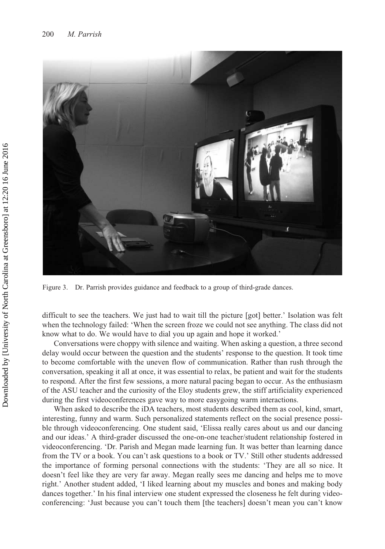

Figure 3. Dr. Parrish provides guidance and feedback to a group of third-grade dances.

difficult to see the teachers. We just had to wait till the picture [got] better.' Isolation was felt when the technology failed: 'When the screen froze we could not see anything. The class did not know what to do. We would have to dial you up again and hope it worked.'

Conversations were choppy with silence and waiting. When asking a question, a three second delay would occur between the question and the students' response to the question. It took time to become comfortable with the uneven flow of communication. Rather than rush through the conversation, speaking it all at once, it was essential to relax, be patient and wait for the students to respond. After the first few sessions, a more natural pacing began to occur. As the enthusiasm of the ASU teacher and the curiosity of the Eloy students grew, the stiff artificiality experienced during the first videoconferences gave way to more easygoing warm interactions.

When asked to describe the iDA teachers, most students described them as cool, kind, smart, interesting, funny and warm. Such personalized statements reflect on the social presence possible through videoconferencing. One student said, 'Elissa really cares about us and our dancing and our ideas.' A third-grader discussed the one-on-one teacher/student relationship fostered in videoconferencing. 'Dr. Parish and Megan made learning fun. It was better than learning dance from the TV or a book. You can't ask questions to a book or TV.' Still other students addressed the importance of forming personal connections with the students: 'They are all so nice. It doesn't feel like they are very far away. Megan really sees me dancing and helps me to move right.' Another student added, 'I liked learning about my muscles and bones and making body dances together.' In his final interview one student expressed the closeness he felt during videoconferencing: 'Just because you can't touch them [the teachers] doesn't mean you can't know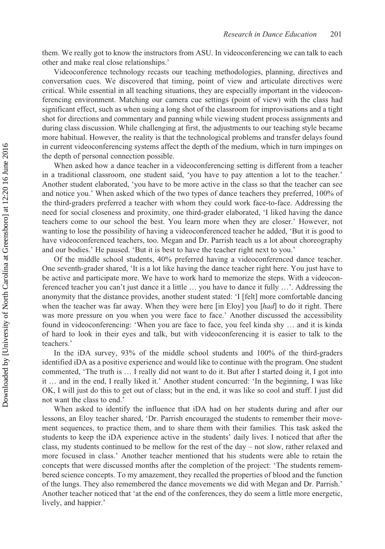them. We really got to know the instructors from ASU. In videoconferencing we can talk to each other and make real close relationships.'

Videoconference technology recasts our teaching methodologies, planning, directives and conversation cues. We discovered that timing, point of view and articulate directives were critical. While essential in all teaching situations, they are especially important in the videoconferencing environment. Matching our camera cue settings (point of view) with the class had significant effect, such as when using a long shot of the classroom for improvisations and a tight shot for directions and commentary and panning while viewing student process assignments and during class discussion. While challenging at first, the adjustments to our teaching style became more habitual. However, the reality is that the technological problems and transfer delays found in current videoconferencing systems affect the depth of the medium, which in turn impinges on the depth of personal connection possible.

When asked how a dance teacher in a videoconferencing setting is different from a teacher in a traditional classroom, one student said, 'you have to pay attention a lot to the teacher.' Another student elaborated, 'you have to be more active in the class so that the teacher can see and notice you.' When asked which of the two types of dance teachers they preferred, 100% of the third-graders preferred a teacher with whom they could work face-to-face. Addressing the need for social closeness and proximity, one third-grader elaborated, 'I liked having the dance teachers come to our school the best. You learn more when they are closer.' However, not wanting to lose the possibility of having a videoconferenced teacher he added, 'But it is good to have videoconferenced teachers, too. Megan and Dr. Parrish teach us a lot about choreography and our bodies.' He paused. 'But it is best to have the teacher right next to you.'

Of the middle school students, 40% preferred having a videoconferenced dance teacher. One seventh-grader shared, 'It is a lot like having the dance teacher right here. You just have to be active and participate more. We have to work hard to memorize the steps. With a videoconferenced teacher you can't just dance it a little … you have to dance it fully …'. Addressing the anonymity that the distance provides, another student stated: 'I [felt] more comfortable dancing when the teacher was far away. When they were here [in Eloy] you [*had*] to do it right. There was more pressure on you when you were face to face.' Another discussed the accessibility found in videoconferencing: 'When you are face to face, you feel kinda shy … and it is kinda of hard to look in their eyes and talk, but with videoconferencing it is easier to talk to the teachers.'

In the iDA survey, 93% of the middle school students and 100% of the third-graders identified iDA as a positive experience and would like to continue with the program. One student commented, 'The truth is … I really did not want to do it. But after I started doing it, I got into it … and in the end, I really liked it.' Another student concurred: 'In the beginning, I was like OK, I will just do this to get out of class; but in the end, it was like so cool and stuff. I just did not want the class to end.'

When asked to identify the influence that iDA had on her students during and after our lessons, an Eloy teacher shared, 'Dr. Parrish encouraged the students to remember their movement sequences, to practice them, and to share them with their families. This task asked the students to keep the iDA experience active in the students' daily lives. I noticed that after the class, my students continued to be mellow for the rest of the day – not slow, rather relaxed and more focused in class.' Another teacher mentioned that his students were able to retain the concepts that were discussed months after the completion of the project: 'The students remembered science concepts. To my amazement, they recalled the properties of blood and the function of the lungs. They also remembered the dance movements we did with Megan and Dr. Parrish.' Another teacher noticed that 'at the end of the conferences, they do seem a little more energetic, lively, and happier.'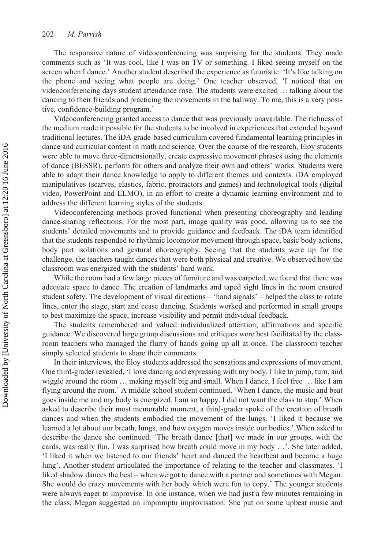The responsive nature of videoconferencing was surprising for the students. They made comments such as 'It was cool, like I was on TV or something. I liked seeing myself on the screen when I dance.' Another student described the experience as futuristic: 'It's like talking on the phone and seeing what people are doing.' One teacher observed, 'I noticed that on videoconferencing days student attendance rose. The students were excited … talking about the dancing to their friends and practicing the movements in the hallway. To me, this is a very positive, confidence-building program.'

Videoconferencing granted access to dance that was previously unavailable. The richness of the medium made it possible for the students to be involved in experiences that extended beyond traditional lectures. The iDA grade-based curriculum covered fundamental learning principles in dance and curricular content in math and science. Over the course of the research, Eloy students were able to move three-dimensionally, create expressive movement phrases using the elements of dance (BESSR), perform for others and analyze their own and others' works. Students were able to adapt their dance knowledge to apply to different themes and contexts. iDA employed manipulatives (scarves, elastics, fabric, protractors and games) and technological tools (digital video, PowerPoint and ELMO), in an effort to create a dynamic learning environment and to address the different learning styles of the students.

Videoconferencing methods proved functional when presenting choreography and leading dance-sharing reflections. For the most part, image quality was good, allowing us to see the students' detailed movements and to provide guidance and feedback. The iDA team identified that the students responded to rhythmic locomotor movement through space, basic body actions, body part isolations and gestural choreography. Seeing that the students were up for the challenge, the teachers taught dances that were both physical and creative. We observed how the classroom was energized with the students' hard work.

While the room had a few large pieces of furniture and was carpeted, we found that there was adequate space to dance. The creation of landmarks and taped sight lines in the room ensured student safety. The development of visual directions – 'hand signals' – helped the class to rotate lines, enter the stage, start and cease dancing. Students worked and performed in small groups to best maximize the space, increase visibility and permit individual feedback.

The students remembered and valued individualized attention, affirmations and specific guidance. We discovered large group discussions and critiques were best facilitated by the classroom teachers who managed the flurry of hands going up all at once. The classroom teacher simply selected students to share their comments.

In their interviews, the Eloy students addressed the sensations and expressions of movement. One third-grader revealed, 'I love dancing and expressing with my body. I like to jump, turn, and wiggle around the room … making myself big and small. When I dance, I feel free … like I am flying around the room.' A middle school student continued, 'When I dance, the music and beat goes inside me and my body is energized. I am so happy. I did not want the class to stop.' When asked to describe their most memorable moment, a third-grader spoke of the creation of breath dances and when the students embodied the movement of the lungs. 'I liked it because we learned a lot about our breath, lungs, and how oxygen moves inside our bodies.' When asked to describe the dance she continued, 'The breath dance [that] we made in our groups, with the cards, was really fun. I was surprised how breath could move in my body …'. She later added, 'I liked it when we listened to our friends' heart and danced the heartbeat and became a huge lung'. Another student articulated the importance of relating to the teacher and classmates. 'I liked shadow dances the best – when we got to dance with a partner and sometimes with Megan. She would do crazy movements with her body which were fun to copy.' The younger students were always eager to improvise. In one instance, when we had just a few minutes remaining in the class, Megan suggested an impromptu improvisation. She put on some upbeat music and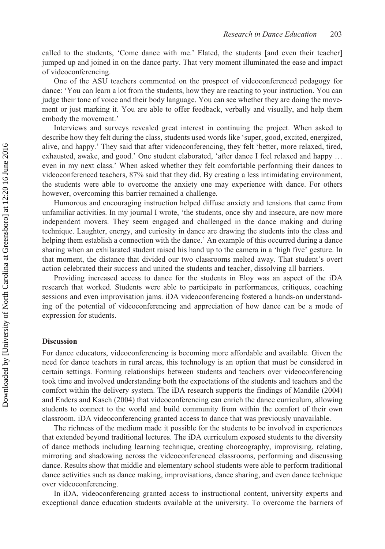called to the students, 'Come dance with me.' Elated, the students [and even their teacher] jumped up and joined in on the dance party. That very moment illuminated the ease and impact of videoconferencing.

One of the ASU teachers commented on the prospect of videoconferenced pedagogy for dance: 'You can learn a lot from the students, how they are reacting to your instruction. You can judge their tone of voice and their body language. You can see whether they are doing the movement or just marking it. You are able to offer feedback, verbally and visually, and help them embody the movement.'

Interviews and surveys revealed great interest in continuing the project. When asked to describe how they felt during the class, students used words like 'super, good, excited, energized, alive, and happy.' They said that after videoconferencing, they felt 'better, more relaxed, tired, exhausted, awake, and good.' One student elaborated, 'after dance I feel relaxed and happy … even in my next class.' When asked whether they felt comfortable performing their dances to videoconferenced teachers, 87% said that they did. By creating a less intimidating environment, the students were able to overcome the anxiety one may experience with dance. For others however, overcoming this barrier remained a challenge.

Humorous and encouraging instruction helped diffuse anxiety and tensions that came from unfamiliar activities. In my journal I wrote, 'the students, once shy and insecure, are now more independent movers. They seem engaged and challenged in the dance making and during technique. Laughter, energy, and curiosity in dance are drawing the students into the class and helping them establish a connection with the dance.' An example of this occurred during a dance sharing when an exhilarated student raised his hand up to the camera in a 'high five' gesture. In that moment, the distance that divided our two classrooms melted away. That student's overt action celebrated their success and united the students and teacher, dissolving all barriers.

Providing increased access to dance for the students in Eloy was an aspect of the iDA research that worked. Students were able to participate in performances, critiques, coaching sessions and even improvisation jams. iDA videoconferencing fostered a hands-on understanding of the potential of videoconferencing and appreciation of how dance can be a mode of expression for students.

# **Discussion**

For dance educators, videoconferencing is becoming more affordable and available. Given the need for dance teachers in rural areas, this technology is an option that must be considered in certain settings. Forming relationships between students and teachers over videoconferencing took time and involved understanding both the expectations of the students and teachers and the comfort within the delivery system. The iDA research supports the findings of Mandile (2004) and Enders and Kasch (2004) that videoconferencing can enrich the dance curriculum, allowing students to connect to the world and build community from within the comfort of their own classroom. iDA videoconferencing granted access to dance that was previously unavailable.

The richness of the medium made it possible for the students to be involved in experiences that extended beyond traditional lectures. The iDA curriculum exposed students to the diversity of dance methods including learning technique, creating choreography, improvising, relating, mirroring and shadowing across the videoconferenced classrooms, performing and discussing dance. Results show that middle and elementary school students were able to perform traditional dance activities such as dance making, improvisations, dance sharing, and even dance technique over videoconferencing.

In iDA, videoconferencing granted access to instructional content, university experts and exceptional dance education students available at the university. To overcome the barriers of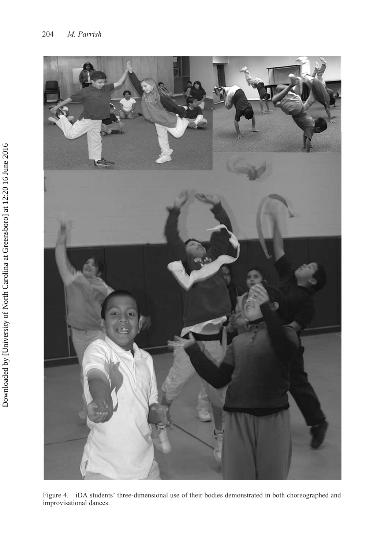

Figure 4. iDA students' three-dimensional use of their bodies demonstrated in both choreographed and improvisational dances.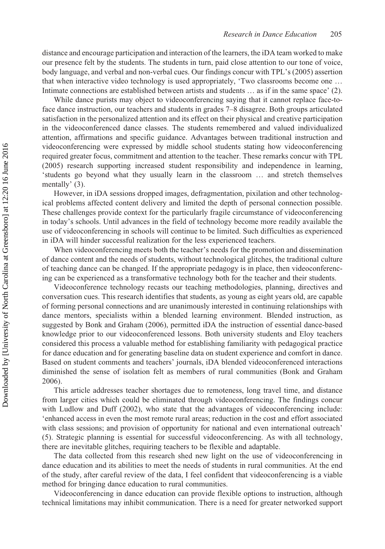distance and encourage participation and interaction of the learners, the iDA team worked to make our presence felt by the students. The students in turn, paid close attention to our tone of voice, body language, and verbal and non-verbal cues. Our findings concur with TPL's (2005) assertion that when interactive video technology is used appropriately, 'Two classrooms become one … Intimate connections are established between artists and students … as if in the same space' (2).

While dance purists may object to videoconferencing saying that it cannot replace face-toface dance instruction, our teachers and students in grades 7–8 disagree. Both groups articulated satisfaction in the personalized attention and its effect on their physical and creative participation in the videoconferenced dance classes. The students remembered and valued individualized attention, affirmations and specific guidance. Advantages between traditional instruction and videoconferencing were expressed by middle school students stating how videoconferencing required greater focus, commitment and attention to the teacher. These remarks concur with TPL (2005) research supporting increased student responsibility and independence in learning, 'students go beyond what they usually learn in the classroom … and stretch themselves mentally' (3).

However, in iDA sessions dropped images, defragmentation, pixilation and other technological problems affected content delivery and limited the depth of personal connection possible. These challenges provide context for the particularly fragile circumstance of videoconferencing in today's schools. Until advances in the field of technology become more readily available the use of videoconferencing in schools will continue to be limited. Such difficulties as experienced in iDA will hinder successful realization for the less experienced teachers.

When videoconferencing meets both the teacher's needs for the promotion and dissemination of dance content and the needs of students, without technological glitches, the traditional culture of teaching dance can be changed. If the appropriate pedagogy is in place, then videoconferencing can be experienced as a transformative technology both for the teacher and their students.

Videoconference technology recasts our teaching methodologies, planning, directives and conversation cues. This research identifies that students, as young as eight years old, are capable of forming personal connections and are unanimously interested in continuing relationships with dance mentors, specialists within a blended learning environment. Blended instruction, as suggested by Bonk and Graham (2006), permitted iDA the instruction of essential dance-based knowledge prior to our videoconferenced lessons. Both university students and Eloy teachers considered this process a valuable method for establishing familiarity with pedagogical practice for dance education and for generating baseline data on student experience and comfort in dance. Based on student comments and teachers' journals, iDA blended videoconferenced interactions diminished the sense of isolation felt as members of rural communities (Bonk and Graham 2006).

This article addresses teacher shortages due to remoteness, long travel time, and distance from larger cities which could be eliminated through videoconferencing. The findings concur with Ludlow and Duff (2002), who state that the advantages of videoconferencing include: 'enhanced access in even the most remote rural areas; reduction in the cost and effort associated with class sessions; and provision of opportunity for national and even international outreach' (5). Strategic planning is essential for successful videoconferencing. As with all technology, there are inevitable glitches, requiring teachers to be flexible and adaptable.

The data collected from this research shed new light on the use of videoconferencing in dance education and its abilities to meet the needs of students in rural communities. At the end of the study, after careful review of the data, I feel confident that videoconferencing is a viable method for bringing dance education to rural communities.

Videoconferencing in dance education can provide flexible options to instruction, although technical limitations may inhibit communication. There is a need for greater networked support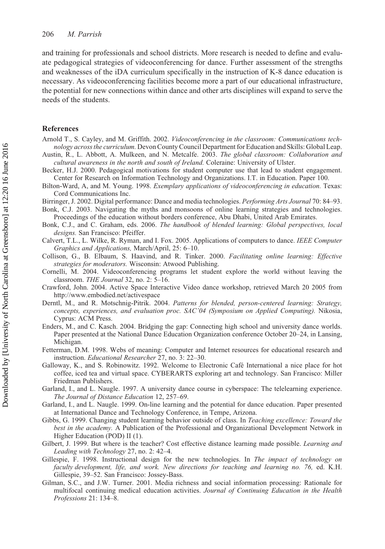and training for professionals and school districts. More research is needed to define and evaluate pedagogical strategies of videoconferencing for dance. Further assessment of the strengths and weaknesses of the iDA curriculum specifically in the instruction of K-8 dance education is necessary. As videoconferencing facilities become more a part of our educational infrastructure, the potential for new connections within dance and other arts disciplines will expand to serve the needs of the students.

# **References**

- Arnold T., S. Cayley, and M. Griffith. 2002. *Videoconferencing in the classroom: Communications technology across the curriculum.* Devon County Council Department for Education and Skills: Global Leap.
- Austin, R., L. Abbott, A. Mulkeen, and N. Metcalfe. 2003. *The global classroom: Collaboration and cultural awareness in the north and south of Ireland.* Coleraine: University of Ulster.
- Becker, H.J. 2000. Pedagogical motivations for student computer use that lead to student engagement. Center for Research on Information Technology and Organizations. I.T. in Education. Paper 100.
- Bilton-Ward, A, and M. Young. 1998. *Exemplary applications of videoconferencing in education.* Texas: Cord Communications Inc.
- Birringer, J. 2002. Digital performance: Dance and media technologies. *Performing Arts Journal* 70: 84–93.
- Bonk, C.J. 2003. Navigating the myths and monsoons of online learning strategies and technologies. Proceedings of the education without borders conference, Abu Dhabi, United Arab Emirates.
- Bonk, C.J., and C. Graham, eds. 2006. *The handbook of blended learning: Global perspectives, local designs.* San Francisco: Pfeiffer.
- Calvert, T.L., L. Wilke, R. Ryman, and I. Fox. 2005. Applications of computers to dance. *IEEE Computer Graphics and Applications,* March/April, 25: 6–10.
- Collison, G., B. Elbaum, S. Haavind, and R. Tinker. 2000. *Facilitating online learning: Effective strategies for moderators.* Wisconsin: Atwood Publishing.
- Cornelli, M. 2004. Videoconferencing programs let student explore the world without leaving the classroom. *THE Journal* 32, no. 2: 5–16.
- Crawford, John. 2004. Active Space Interactive Video dance workshop, retrieved March 20 2005 from http://www.embodied.net/activespace
- Derntl, M., and R. Motschnig-Pitrik. 2004. *Patterns for blended, person-centered learning: Strategy, concepts, experiences, and evaluation proc. SAC'04 (Symposium on Applied Computing).* Nikosia, Cyprus: ACM Press.
- Enders, M., and C. Kasch. 2004. Bridging the gap: Connecting high school and university dance worlds. Paper presented at the National Dance Education Organization conference October 20–24, in Lansing, Michigan.
- Fetterman, D.M. 1998. Webs of meaning: Computer and Internet resources for educational research and instruction. *Educational Researcher* 27, no. 3: 22–30.
- Galloway, K., and S. Robinowitz. 1992. Welcome to Electronic Café International a nice place for hot coffee, iced tea and virtual space. CYBERARTS exploring art and technology. San Francisco: Miller Friedman Publishers.
- Garland, I., and L. Naugle. 1997. A university dance course in cyberspace: The telelearning experience. *The Journal of Distance Education* 12, 257–69.
- Garland, I., and L. Naugle. 1999. On-line learning and the potential for dance education. Paper presented at International Dance and Technology Conference, in Tempe, Arizona.
- Gibbs, G. 1999. Changing student learning behavior outside of class. In *Teaching excellence: Toward the best in the academy.* A Publication of the Professional and Organizational Development Network in Higher Education (POD) II (1).
- Gilbert, J. 1999. But where is the teacher? Cost effective distance learning made possible. *Learning and Leading with Technology* 27, no. 2: 42–4.
- Gillespie, F. 1998. Instructional design for the new technologies. In *The impact of technology on faculty development, life, and work. New directions for teaching and learning no. 76,* ed. K.H. Gillespie, 39–52. San Francisco: Jossey-Bass.
- Gilman, S.C., and J.W. Turner. 2001. Media richness and social information processing: Rationale for multifocal continuing medical education activities. *Journal of Continuing Education in the Health Professions* 21: 134–8.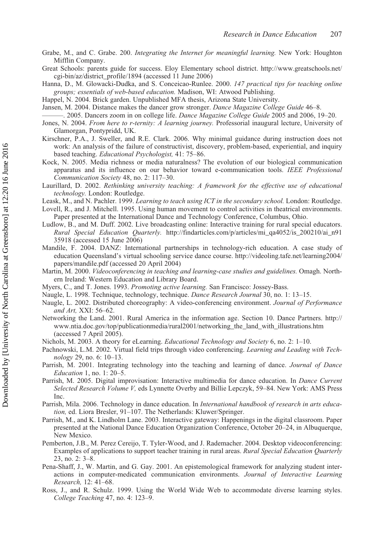- Grabe, M., and C. Grabe. 200. *Integrating the Internet for meaningful learning.* New York: Houghton Mifflin Company.
- Great Schools: parents guide for success. Eloy Elementary school district. http://www.greatschools.net/ cgi-bin/az/district\_profile/1894 (accessed 11 June 2006)
- Hanna, D., M. Glowacki-Dudka, and S. Conceicao-Runlee. 2000. *147 practical tips for teaching online groups; essentials of web-based education.* Madison, WI: Atwood Publishing.
- Happel, N. 2004. Brick garden. Unpublished MFA thesis, Arizona State University.
- Jansen, M. 2004. Distance makes the dancer grow stronger. *Dance Magazine College Guide* 46–8.
- ———. 2005. Dancers zoom in on college life. *Dance Magazine College Guide* 2005 and 2006, 19–20.
- Jones, N. 2004. *From here to r-ternity: A learning journey.* Professorial inaugural lecture, University of Glamorgan, Pontypridd, UK.
- Kirschner, P.A., J. Sweller, and R.E. Clark. 2006. Why minimal guidance during instruction does not work: An analysis of the failure of constructivist, discovery, problem-based, experiential, and inquiry based teaching. *Educational Psychologist,* 41: 75–86.
- Kock, N. 2005. Media richness or media naturalness? The evolution of our biological communication apparatus and its influence on our behavior toward e-communication tools. *IEEE Professional Communication Society* 48, no. 2: 117–30.
- Laurillard, D. 2002. *Rethinking university teaching: A framework for the effective use of educational technology.* London: Routledge.
- Leask, M., and N. Pachler. 1999. *Learning to teach using ICT in the secondary school.* London: Routledge.
- Lovell, R., and J. Mitchell. 1995. Using human movement to control activities in theatrical environments. Paper presented at the International Dance and Technology Conference, Columbus, Ohio.
- Ludlow, B., and M. Duff. 2002. Live broadcasting online: Interactive training for rural special educators. *Rural Special Education Quarterly.* http://findarticles.com/p/articles/mi\_qa4052/is\_200210/ai\_n91 35918 (accessed 15 June 2006)
- Mandile, F. 2004. DANZ: International partnerships in technology-rich education. A case study of education Queensland's virtual schooling service dance course. http://videoling.tafe.net/learning2004/ papers/mandile.pdf (accessed 20 April 2004)
- Martin, M. 2000. *Videoconferencing in teaching and learning-case studies and guidelines.* Omagh. Northern Ireland: Western Education and Library Board.
- Myers, C., and T. Jones. 1993. *Promoting active learning.* San Francisco: Jossey-Bass.
- Naugle, L. 1998. Technique, technology, technique. *Dance Research Journal* 30, no. 1: 13–15.
- Naugle, L. 2002. Distributed choreography: A video-conferencing environment. *Journal of Performance and Art,* XXI: 56–62.
- Networking the Land. 2001. Rural America in the information age. Section 10. Dance Partners. http:// www.ntia.doc.gov/top/publicationmedia/rural2001/networking\_the\_land\_with\_illustrations.htm (accessed 7 April 2005).
- Nichols, M. 2003. A theory for eLearning. *Educational Technology and Society* 6, no. 2: 1–10.
- Pachnowski, L.M. 2002. Virtual field trips through video conferencing. *Learning and Leading with Technology* 29, no. 6: 10–13.
- Parrish, M. 2001. Integrating technology into the teaching and learning of dance. *Journal of Dance Education* 1, no. 1: 20–5.
- Parrish, M. 2005. Digital improvisation: Interactive multimedia for dance education. In *Dance Current Selected Research Volume V,* eds Lynnette Overby and Billie Lepczyk, 59–84. New York: AMS Press Inc.
- Parrish, Mila. 2006. Technology in dance education. In *International handbook of research in arts education,* ed. Liora Bresler, 91–107. The Netherlands: Kluwer/Springer.
- Parrish, M., and K. Lindholm Lane. 2003. Interactive gateway: Happenings in the digital classroom. Paper presented at the National Dance Education Organization Conference, October 20–24, in Albuquerque, New Mexico.
- Pemberton, J.B., M. Perez Cereijo, T. Tyler-Wood, and J. Rademacher. 2004. Desktop videoconferencing: Examples of applications to support teacher training in rural areas. *Rural Special Education Quarterly* 23, no. 2: 3–8.
- Pena-Shaff, J., W. Martin, and G. Gay. 2001. An epistemological framework for analyzing student interactions in computer-medicated communication environments. *Journal of Interactive Learning Research,* 12: 41–68.
- Ross, J., and R. Schulz. 1999. Using the World Wide Web to accommodate diverse learning styles. *College Teaching* 47, no. 4: 123–9.